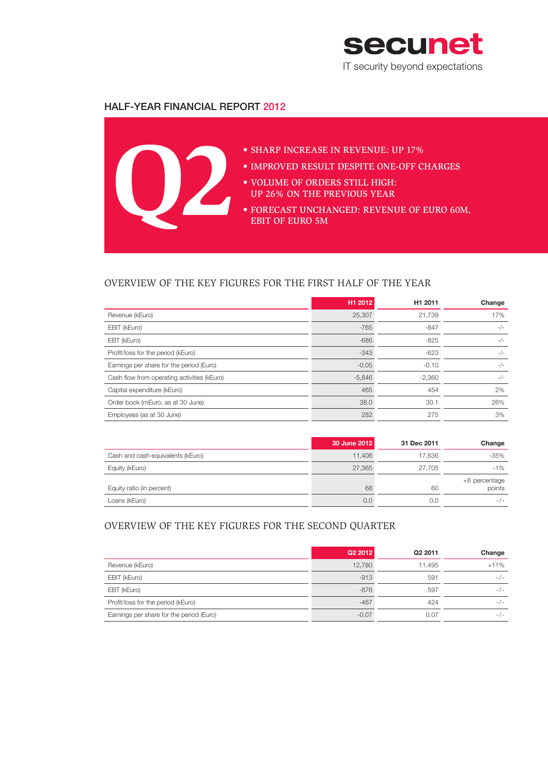

# halF-Year Financial Report 2012



# OVERVIEW OF THE KEY FIGURES FOR THE FIRST HALF OF THE YEAR

|                                             | H1 2012  | H <sub>1</sub> 2011 | Change |
|---------------------------------------------|----------|---------------------|--------|
| Revenue (kEuro)                             | 25,307   | 21,739              | 17%    |
| EBIT (kEuro)                                | $-765$   | $-847$              | $-/-$  |
| EBT (kEuro)                                 | $-686$   | $-825$              | $-/-$  |
| Profit/loss for the period (kEuro)          | $-343$   | $-623$              | $-/-$  |
| Earnings per share for the period (Euro)    | $-0.05$  | $-0.10$             | $-/-$  |
| Cash flow from operating activities (kEuro) | $-5,846$ | $-2.360$            | $-/-$  |
| Capital expenditure (kEuro)                 | 465      | 454                 | 2%     |
| Order book (mEuro, as at 30 June)           | 38.0     | 30.1                | 26%    |
| Employees (as at 30 June)                   | 282      | 275                 | 3%     |

|                                   | 30 June 2012 | 31 Dec 2011 | Change                  |
|-----------------------------------|--------------|-------------|-------------------------|
| Cash and cash equivalents (kEuro) | 11,406       | 17.636      | $-35%$                  |
| Equity (kEuro)                    | 27,365       | 27.705      | $-1\%$                  |
| Equity ratio (in percent)         | 68           | 60          | +8 percentage<br>points |
| Loans (kEuro)                     | 0.0          | 0.0         | $-/-$                   |

# OVERVIEW OF THE KEY FIGURES FOR THE SECOND QUARTER

|                                          | Q2 2012 | Q2 2011 | Change |
|------------------------------------------|---------|---------|--------|
| Revenue (kEuro)                          | 12,780  | 11.495  | $+11%$ |
| EBIT (kEuro)                             | $-913$  | 591     | $-/-$  |
| EBT (kEuro)                              | $-876$  | 597     | $-/-$  |
| Profit/loss for the period (kEuro)       | $-467$  | 424     | $-/-$  |
| Earnings per share for the period (Euro) | $-0.07$ | 0.07    | $-/-$  |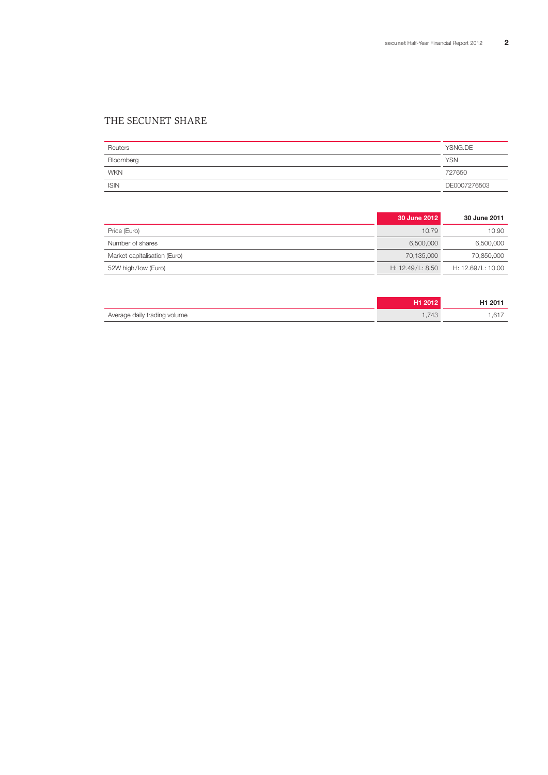# THE SECUNET SHARE

| Reuters     | YSNG.DE      |
|-------------|--------------|
| Bloomberg   | <b>YSN</b>   |
| <b>WKN</b>  | 727650       |
| <b>ISIN</b> | DE0007276503 |

|                              | 30 June 2012     | 30 June 2011      |
|------------------------------|------------------|-------------------|
| Price (Euro)                 | 10.79            | 10.90             |
| Number of shares             | 6.500.000        | 6,500,000         |
| Market capitalisation (Euro) | 70.135.000       | 70,850,000        |
| 52W high/low (Euro)          | H: 12.49/L: 8.50 | H: 12.69/L: 10.00 |

|                              | <b>H1 2012</b> | H1 2011 |
|------------------------------|----------------|---------|
| Average daily trading volume | 1.743          | .617    |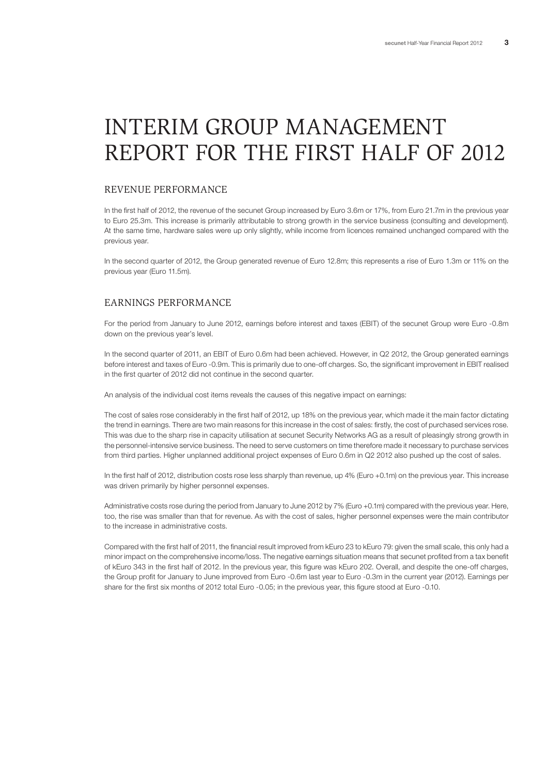# INTERIM GROUP MANAGEMENT REPORT FOR THE FIRST HALF OF 2012

# REVENUE PERFORMANCE

In the first half of 2012, the revenue of the secunet Group increased by Euro 3.6m or 17%, from Euro 21.7m in the previous year to Euro 25.3m. This increase is primarily attributable to strong growth in the service business (consulting and development). At the same time, hardware sales were up only slightly, while income from licences remained unchanged compared with the previous year.

In the second quarter of 2012, the Group generated revenue of Euro 12.8m; this represents a rise of Euro 1.3m or 11% on the previous year (Euro 11.5m).

## EARNINGS PERFORMANCE

For the period from January to June 2012, earnings before interest and taxes (EBIT) of the secunet Group were Euro -0.8m down on the previous year's level.

In the second quarter of 2011, an EBIT of Euro 0.6m had been achieved. However, in Q2 2012, the Group generated earnings before interest and taxes of Euro -0.9m. This is primarily due to one-off charges. So, the significant improvement in EBIT realised in the first quarter of 2012 did not continue in the second quarter.

An analysis of the individual cost items reveals the causes of this negative impact on earnings:

The cost of sales rose considerably in the first half of 2012, up 18% on the previous year, which made it the main factor dictating the trend in earnings. There are two main reasons for this increase in the cost of sales: firstly, the cost of purchased services rose. This was due to the sharp rise in capacity utilisation at secunet Security Networks AG as a result of pleasingly strong growth in the personnel-intensive service business. The need to serve customers on time therefore made it necessary to purchase services from third parties. Higher unplanned additional project expenses of Euro 0.6m in Q2 2012 also pushed up the cost of sales.

In the first half of 2012, distribution costs rose less sharply than revenue, up 4% (Euro +0.1m) on the previous year. This increase was driven primarily by higher personnel expenses.

Administrative costs rose during the period from January to June 2012 by 7% (Euro +0.1m) compared with the previous year. Here, too, the rise was smaller than that for revenue. As with the cost of sales, higher personnel expenses were the main contributor to the increase in administrative costs.

Compared with the first half of 2011, the financial result improved from kEuro 23 to kEuro 79: given the small scale, this only had a minor impact on the comprehensive income/loss. The negative earnings situation means that secunet profited from a tax benefit of kEuro 343 in the first half of 2012. In the previous year, this figure was kEuro 202. Overall, and despite the one-off charges, the Group profit for January to June improved from Euro -0.6m last year to Euro -0.3m in the current year (2012). Earnings per share for the first six months of 2012 total Euro -0.05; in the previous year, this figure stood at Euro -0.10.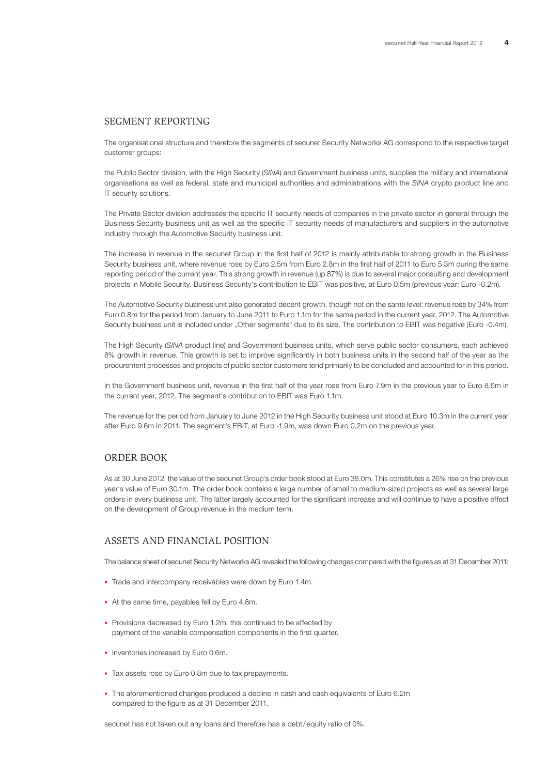#### SEGMENT REPORTING

The organisational structure and therefore the segments of secunet Security Networks AG correspond to the respective target customer groups:

the Public Sector division, with the High Security (*SINA*) and Government business units, supplies the military and international organisations as well as federal, state and municipal authorities and administrations with the *SINA* crypto product line and IT security solutions.

The Private Sector division addresses the specific IT security needs of companies in the private sector in general through the Business Security business unit as well as the specific IT security needs of manufacturers and suppliers in the automotive industry through the Automotive Security business unit.

The increase in revenue in the secunet Group in the first half of 2012 is mainly attributable to strong growth in the Business Security business unit, where revenue rose by Euro 2.5m from Euro 2.8m in the first half of 2011 to Euro 5.3m during the same reporting period of the current year. This strong growth in revenue (up 87%) is due to several major consulting and development projects in Mobile Security. Business Security's contribution to EBIT was positive, at Euro 0.5m (previous year: Euro -0.2m).

The Automotive Security business unit also generated decent growth, though not on the same level: revenue rose by 34% from Euro 0.8m for the period from January to June 2011 to Euro 1.1m for the same period in the current year, 2012. The Automotive Security business unit is included under "Other segments" due to its size. The contribution to EBIT was negative (Euro -0.4m).

The High Security (*SINA* product line) and Government business units, which serve public sector consumers, each achieved 8% growth in revenue. This growth is set to improve significantly in both business units in the second half of the year as the procurement processes and projects of public sector customers tend primarily to be concluded and accounted for in this period.

In the Government business unit, revenue in the first half of the year rose from Euro 7.9m in the previous year to Euro 8.6m in the current year, 2012. The segment's contribution to EBIT was Euro 1.1m.

The revenue for the period from January to June 2012 in the High Security business unit stood at Euro 10.3m in the current year after Euro 9.6m in 2011. The segment's EBIT, at Euro -1.9m, was down Euro 0.2m on the previous year.

# ORDER BOOK

As at 30 June 2012, the value of the secunet Group's order book stood at Euro 38.0m. This constitutes a 26% rise on the previous year's value of Euro 30.1m. The order book contains a large number of small to medium-sized projects as well as several large orders in every business unit. The latter largely accounted for the significant increase and will continue to have a positive effect on the development of Group revenue in the medium term.

## ASSETS AND FINANCIAL POSITION

The balance sheet of secunet Security Networks AG revealed the following changes compared with the figures as at 31 December 2011:

- Trade and intercompany receivables were down by Euro 1.4m.
- At the same time, payables fell by Euro 4.8m.
- Provisions decreased by Euro 1.2m: this continued to be affected by payment of the variable compensation components in the first quarter.
- Inventories increased by Euro 0.6m.
- Tax assets rose by Euro 0.8m due to tax prepayments.
- The aforementioned changes produced a decline in cash and cash equivalents of Euro 6.2m compared to the figure as at 31 December 2011.

secunet has not taken out any loans and therefore has a debt/equity ratio of 0%.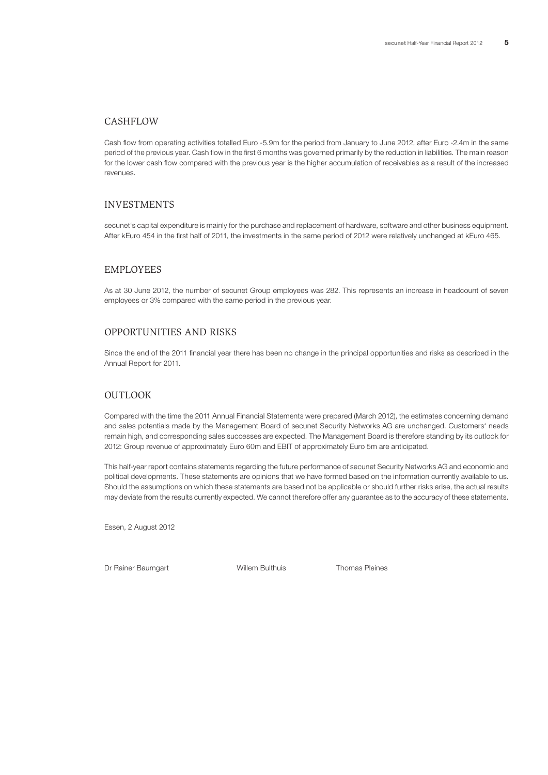#### CASHFLOW

Cash flow from operating activities totalled Euro -5.9m for the period from January to June 2012, after Euro -2.4m in the same period of the previous year. Cash flow in the first 6 months was governed primarily by the reduction in liabilities. The main reason for the lower cash flow compared with the previous year is the higher accumulation of receivables as a result of the increased revenues.

#### INVESTMENTS

secunet's capital expenditure is mainly for the purchase and replacement of hardware, software and other business equipment. After kEuro 454 in the first half of 2011, the investments in the same period of 2012 were relatively unchanged at kEuro 465.

## EMPLOYEES

As at 30 June 2012, the number of secunet Group employees was 282. This represents an increase in headcount of seven employees or 3% compared with the same period in the previous year.

#### OPPORTUNITIES AND RISKS

Since the end of the 2011 financial year there has been no change in the principal opportunities and risks as described in the Annual Report for 2011.

#### OUTLOOK

Compared with the time the 2011 Annual Financial Statements were prepared (March 2012), the estimates concerning demand and sales potentials made by the Management Board of secunet Security Networks AG are unchanged. Customers' needs remain high, and corresponding sales successes are expected. The Management Board is therefore standing by its outlook for 2012: Group revenue of approximately Euro 60m and EBIT of approximately Euro 5m are anticipated.

This half-year report contains statements regarding the future performance of secunet Security Networks AG and economic and political developments. These statements are opinions that we have formed based on the information currently available to us. Should the assumptions on which these statements are based not be applicable or should further risks arise, the actual results may deviate from the results currently expected. We cannot therefore offer any guarantee as to the accuracy of these statements.

Essen, 2 August 2012

Dr Rainer Baumgart **National Communist Communist Communist Communist Communist Communist Communist Communist Communist Communist Communist Communist Communist Communist Communist Communist Communist Communist Communist Com**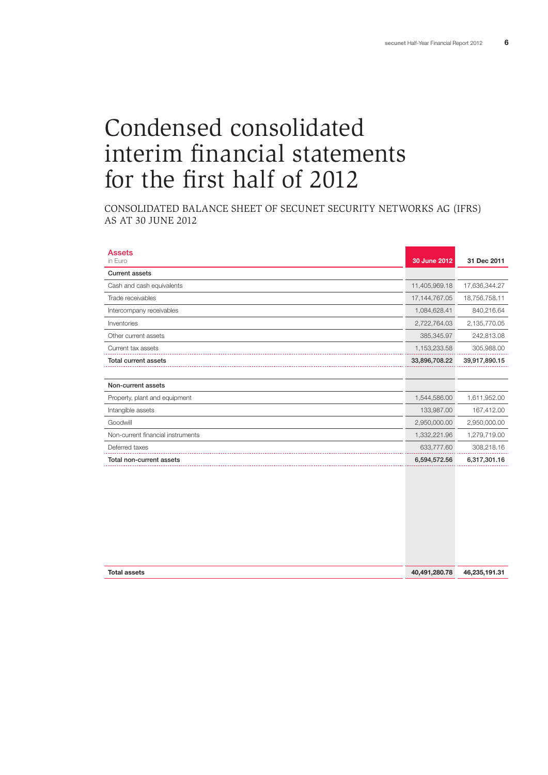# Condensed consolidated interim financial statements for the first half of 2012

CONSOLIDATED BALANCE SHEET OF SECUNET SECURITY NETWORKS AG (IFRS) AS AT 30 JUNE 2012

| <b>Assets</b><br>in Euro          | 30 June 2012     | 31 Dec 2011   |
|-----------------------------------|------------------|---------------|
| <b>Current assets</b>             |                  |               |
| Cash and cash equivalents         | 11,405,969.18    | 17,636,344.27 |
| Trade receivables                 | 17, 144, 767. 05 | 18,756,758.11 |
| Intercompany receivables          | 1,084,628.41     | 840,216.64    |
| Inventories                       | 2,722,764.03     | 2,135,770.05  |
| Other current assets              | 385,345.97       | 242,813.08    |
| Current tax assets                | 1,153,233.58     | 305,988.00    |
| <b>Total current assets</b>       | 33,896,708.22    | 39,917,890.15 |
|                                   |                  |               |
| Non-current assets                |                  |               |
| Property, plant and equipment     | 1,544,586.00     | 1,611,952.00  |
| Intangible assets                 | 133,987.00       | 167,412.00    |
| Goodwill                          | 2,950,000.00     | 2,950,000.00  |
| Non-current financial instruments | 1,332,221.96     | 1,279,719.00  |
| Deferred taxes                    | 633,777.60       | 308,218.16    |
| Total non-current assets          | 6,594,572.56     | 6,317,301.16  |
|                                   |                  |               |
|                                   |                  |               |

| <b>Total assets</b> | 40,491,280.78 | 46,235,191.31 |
|---------------------|---------------|---------------|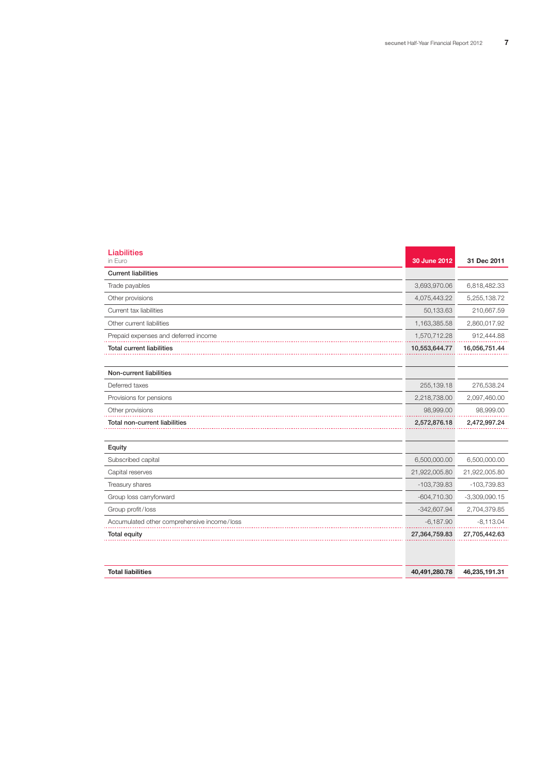a na mata

| <b>Liabilities</b><br>in Euro               | 30 June 2012  | 31 Dec 2011     |
|---------------------------------------------|---------------|-----------------|
| <b>Current liabilities</b>                  |               |                 |
| Trade payables                              | 3,693,970.06  | 6,818,482.33    |
| Other provisions                            | 4,075,443.22  | 5,255,138.72    |
| Current tax liabilities                     | 50,133.63     | 210,667.59      |
| Other current liabilities                   | 1,163,385.58  | 2,860,017.92    |
| Prepaid expenses and deferred income        | 1,570,712.28  | 912,444.88      |
| <b>Total current liabilities</b>            | 10,553,644.77 | 16,056,751.44   |
| Non-current liabilities                     |               |                 |
| Deferred taxes                              | 255,139.18    | 276,538.24      |
| Provisions for pensions                     | 2,218,738.00  | 2,097,460.00    |
| Other provisions                            | 98,999.00     | 98,999.00       |
| Total non-current liabilities               | 2,572,876.18  | 2,472,997.24    |
| Equity                                      |               |                 |
| Subscribed capital                          | 6,500,000.00  | 6,500,000.00    |
| Capital reserves                            | 21,922,005.80 | 21,922,005.80   |
| Treasury shares                             | $-103,739.83$ | -103,739.83     |
| Group loss carryforward                     | $-604,710.30$ | $-3,309,090.15$ |
| Group profit/loss                           | $-342,607.94$ | 2,704,379.85    |
| Accumulated other comprehensive income/loss | $-6,187.90$   | $-8,113.04$     |
| <b>Total equity</b>                         | 27,364,759.83 | 27,705,442.63   |
| <b>Total liabilities</b>                    | 40,491,280.78 | 46,235,191.31   |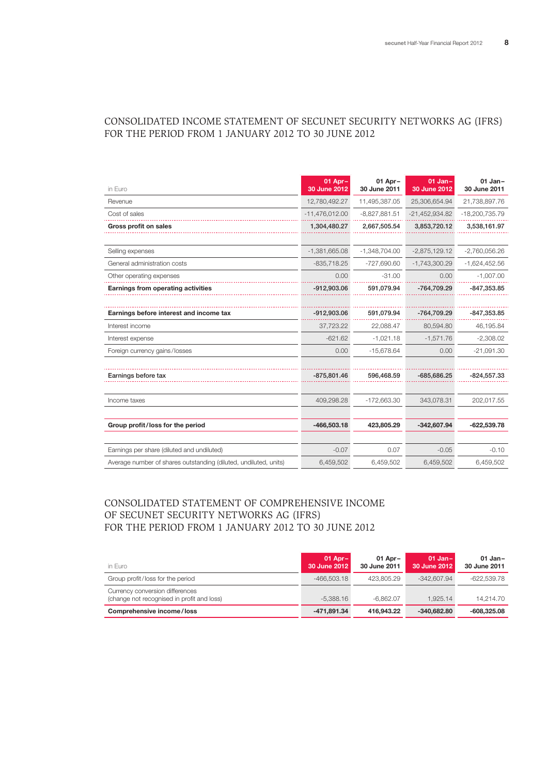# CONSOLIDATED INCOME STATEMENT OF SECUNET SECURITY NETWORKS AG (IFRS) FOR THE PERIOD FROM 1 JANUARY 2012 TO 30 JUNE 2012

| in Euro                                                          | 01 Apr-<br>30 June 2012 | 01 Apr-<br>30 June 2011 | $01$ Jan-<br>30 June 2012 | $01$ Jan-<br>30 June 2011 |
|------------------------------------------------------------------|-------------------------|-------------------------|---------------------------|---------------------------|
| Revenue                                                          | 12,780,492.27           | 11,495,387.05           | 25,306,654.94             | 21,738,897.76             |
| Cost of sales                                                    | $-11,476,012.00$        | $-8,827,881.51$         | $-21,452,934.82$          | -18,200,735.79            |
| <b>Gross profit on sales</b>                                     | 1,304,480.27            | 2,667,505.54            | 3,853,720.12              | 3,538,161.97              |
|                                                                  |                         |                         |                           |                           |
| Selling expenses                                                 | $-1,381,665.08$         | $-1,348,704.00$         | $-2,875,129.12$           | $-2,760,056.26$           |
| General administration costs                                     | $-835,718.25$           | $-727,690.60$           | $-1,743,300.29$           | $-1,624,452.56$           |
| Other operating expenses                                         | 0.00                    | $-31.00$                | 0.00                      | $-1,007.00$               |
| Earnings from operating activities                               | $-912,903.06$           | 591,079.94              | -764,709.29               | $-847,353.85$             |
|                                                                  |                         |                         |                           |                           |
| Earnings before interest and income tax                          | $-912,903.06$           | 591,079.94              | -764,709.29               | $-847,353.85$             |
| Interest income                                                  | 37,723.22               | 22.088.47               | 80,594.80                 | 46,195.84                 |
| Interest expense                                                 | $-621.62$               | $-1,021.18$             | $-1,571.76$               | $-2,308.02$               |
| Foreign currency gains/losses                                    | 0.00                    | $-15,678.64$            | 0.00                      | $-21,091.30$              |
|                                                                  |                         |                         |                           |                           |
| Earnings before tax                                              | $-875,801.46$           | 596,468.59              | $-685,686.25$             | $-824,557.33$             |
|                                                                  |                         |                         |                           |                           |
| Income taxes                                                     | 409,298.28              | $-172,663.30$           | 343,078.31                | 202,017.55                |
|                                                                  |                         |                         |                           |                           |
| Group profit/loss for the period                                 | $-466,503.18$           | 423,805.29              | $-342,607.94$             | $-622,539.78$             |
|                                                                  |                         |                         |                           |                           |
| Earnings per share (diluted and undiluted)                       | $-0.07$                 | 0.07                    | $-0.05$                   | $-0.10$                   |
| Average number of shares outstanding (diluted, undiluted, units) | 6,459,502               | 6,459,502               | 6,459,502                 | 6,459,502                 |

# Consolidated STATEMENT OF COMPREHENSIVE INCOME OF SECUNET SECURITY NETWORKS AG (IFRS) FOR THE PERIOD FROM 1 JANUARY 2012 TO 30 JUNE 2012

| in Euro                                                                       | $01$ Apr $-$<br>30 June 2012 | $01$ Apr $-$<br>30 June 2011 | $01$ Jan-<br>30 June 2012 | $01$ Jan-<br>30 June 2011 |
|-------------------------------------------------------------------------------|------------------------------|------------------------------|---------------------------|---------------------------|
| Group profit/loss for the period                                              | $-466.503.18$                | 423.805.29                   | $-342.607.94$             | -622.539.78               |
| Currency conversion differences<br>(change not recognised in profit and loss) | $-5.388.16$                  | $-6.862.07$                  | 1.925.14                  | 14.214.70                 |
| Comprehensive income/loss                                                     | -471,891.34                  | 416.943.22                   | $-340.682.80$             | $-608,325.08$             |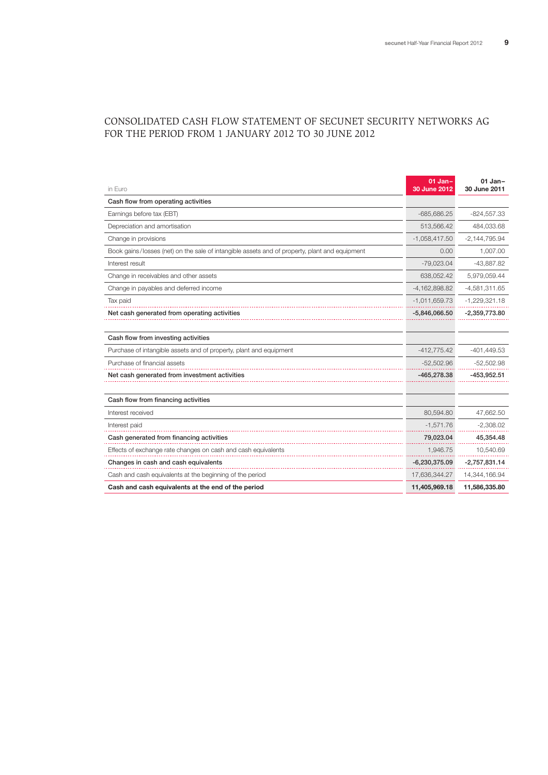# consolidated CASH FLOW STATEMENT OF SECUNET SECURITY NETWORKS AG FOR THE PERIOD FROM 1 JANUARY 2012 TO 30 JUNE 2012

| in Euro                                                                                       | $01$ Jan-<br>30 June 2012 | $01$ Jan-<br>30 June 2011 |
|-----------------------------------------------------------------------------------------------|---------------------------|---------------------------|
| Cash flow from operating activities                                                           |                           |                           |
| Earnings before tax (EBT)                                                                     | $-685.686.25$             | $-824,557.33$             |
| Depreciation and amortisation                                                                 | 513,566.42                | 484,033.68                |
| Change in provisions                                                                          | $-1,058,417.50$           | $-2,144,795.94$           |
| Book gains/losses (net) on the sale of intangible assets and of property, plant and equipment | 0.00                      | 1,007.00                  |
| Interest result                                                                               | $-79.023.04$              | $-43.887.82$              |
| Change in receivables and other assets                                                        | 638,052.42                | 5,979,059.44              |
| Change in payables and deferred income                                                        | $-4,162,898.82$           | $-4,581,311.65$           |
| Tax paid                                                                                      | $-1,011,659.73$           | $-1,229,321.18$           |
| Net cash generated from operating activities                                                  | $-5,846,066.50$           | $-2,359,773.80$           |
|                                                                                               |                           |                           |
| Cash flow from investing activities                                                           |                           |                           |
| Purchase of intangible assets and of property, plant and equipment                            | $-412,775.42$             | $-401,449.53$             |
| Purchase of financial assets                                                                  | $-52,502.96$              | $-52,502.98$              |
| Net cash generated from investment activities                                                 | -465,278.38               | $-453,952.51$             |
|                                                                                               |                           |                           |
| Cash flow from financing activities                                                           |                           |                           |
| Interest received                                                                             | 80,594.80                 | 47,662.50                 |
| Interest paid                                                                                 | $-1,571.76$               | $-2,308.02$               |
| Cash generated from financing activities                                                      | 79,023.04                 | 45,354.48                 |
| Effects of exchange rate changes on cash and cash equivalents                                 | 1,946.75                  | 10,540.69                 |
| Changes in cash and cash equivalents                                                          | $-6,230,375.09$           | $-2,757,831.14$           |
| Cash and cash equivalents at the beginning of the period                                      | 17,636,344.27             | 14,344,166.94             |
| Cash and cash equivalents at the end of the period                                            | 11,405,969.18             | 11,586,335.80             |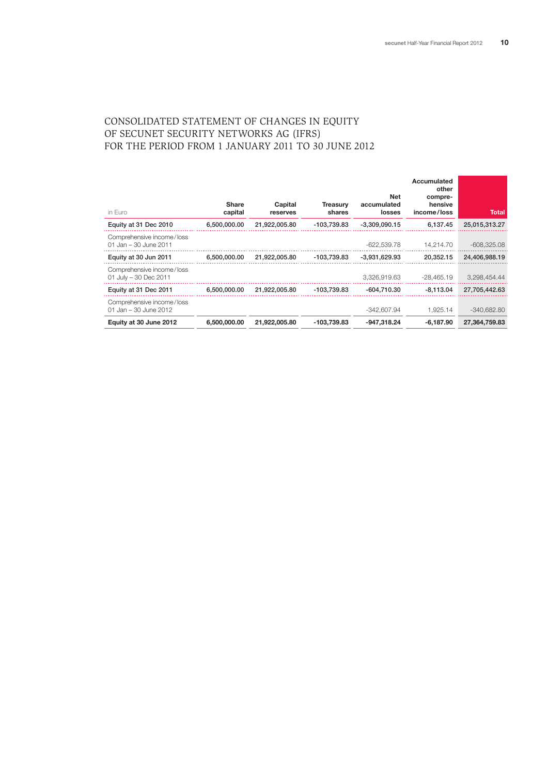# CONSOLIDATED STATEMENT OF CHANGES IN EQUITY OF SECUNET SECURITY NETWORKS AG (IFRS) FOR THE PERIOD FROM 1 JANUARY 2011 TO 30 JUNE 2012

| in Euro                                            | <b>Share</b><br>capital | Capital<br>reserves | <b>Treasurv</b><br>shares | <b>Net</b><br>accumulated<br>losses | Accumulated<br>other<br>compre-<br>hensive<br>income/loss | Total         |
|----------------------------------------------------|-------------------------|---------------------|---------------------------|-------------------------------------|-----------------------------------------------------------|---------------|
| Equity at 31 Dec 2010                              | 6,500,000.00            | 21,922,005.80       | -103,739.83               | $-3.309.090.15$                     | 6,137.45                                                  | 25,015,313.27 |
| Comprehensive income/loss<br>01 Jan – 30 June 2011 |                         |                     |                           | $-622.539.78$                       | 14.214.70                                                 | $-608.325.08$ |
| Equity at 30 Jun 2011                              | 6,500,000.00            | 21,922,005.80       | -103,739.83               | -3.931.629.93                       | 20.352.15                                                 | 24,406,988.19 |
| Comprehensive income/loss<br>01 July - 30 Dec 2011 |                         |                     |                           | 3.326.919.63                        | -28.465.19                                                | 3.298.454.44  |
| Equity at 31 Dec 2011                              | 6,500,000.00            | 21.922.005.80       | -103.739.83               | -604.710.30                         | $-8.113.04$                                               | 27,705,442.63 |
| Comprehensive income/loss<br>01 Jan - 30 June 2012 |                         |                     |                           | $-342.607.94$                       | 1.925.14                                                  | $-340.682.80$ |
| Equity at 30 June 2012                             | 6,500,000,00            | 21.922.005.80       | $-103,739.83$             | $-947,318.24$                       | $-6.187.90$                                               | 27.364.759.83 |
|                                                    |                         |                     |                           |                                     |                                                           |               |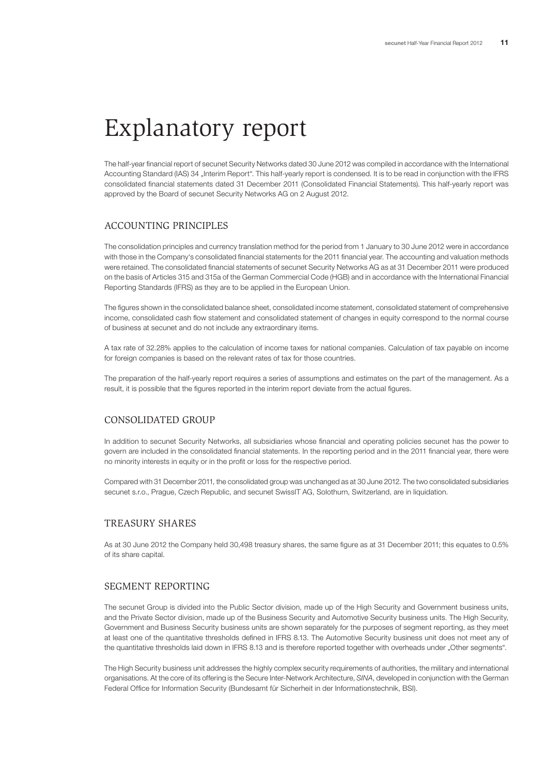# Explanatory report

The half-year financial report of secunet Security Networks dated 30 June 2012 was compiled in accordance with the International Accounting Standard (IAS) 34 "Interim Report". This half-yearly report is condensed. It is to be read in conjunction with the IFRS consolidated financial statements dated 31 December 2011 (Consolidated Financial Statements). This half-yearly report was approved by the Board of secunet Security Networks AG on 2 August 2012.

# ACCOUNTING PRINCIPLES

The consolidation principles and currency translation method for the period from 1 January to 30 June 2012 were in accordance with those in the Company's consolidated financial statements for the 2011 financial year. The accounting and valuation methods were retained. The consolidated financial statements of secunet Security Networks AG as at 31 December 2011 were produced on the basis of Articles 315 and 315a of the German Commercial Code (HGB) and in accordance with the International Financial Reporting Standards (IFRS) as they are to be applied in the European Union.

The figures shown in the consolidated balance sheet, consolidated income statement, consolidated statement of comprehensive income, consolidated cash flow statement and consolidated statement of changes in equity correspond to the normal course of business at secunet and do not include any extraordinary items.

A tax rate of 32.28% applies to the calculation of income taxes for national companies. Calculation of tax payable on income for foreign companies is based on the relevant rates of tax for those countries.

The preparation of the half-yearly report requires a series of assumptions and estimates on the part of the management. As a result, it is possible that the figures reported in the interim report deviate from the actual figures.

## CONSOLIDATED GROUP

In addition to secunet Security Networks, all subsidiaries whose financial and operating policies secunet has the power to govern are included in the consolidated financial statements. In the reporting period and in the 2011 financial year, there were no minority interests in equity or in the profit or loss for the respective period.

Compared with 31 December 2011, the consolidated group was unchanged as at 30 June 2012. The two consolidated subsidiaries secunet s.r.o., Prague, Czech Republic, and secunet SwissIT AG, Solothurn, Switzerland, are in liquidation.

# TREASURY SHARES

As at 30 June 2012 the Company held 30,498 treasury shares, the same figure as at 31 December 2011; this equates to 0.5% of its share capital.

### SEGMENT REPORTING

The secunet Group is divided into the Public Sector division, made up of the High Security and Government business units, and the Private Sector division, made up of the Business Security and Automotive Security business units. The High Security, Government and Business Security business units are shown separately for the purposes of segment reporting, as they meet at least one of the quantitative thresholds defined in IFRS 8.13. The Automotive Security business unit does not meet any of the quantitative thresholds laid down in IFRS 8.13 and is therefore reported together with overheads under "Other segments".

The High Security business unit addresses the highly complex security requirements of authorities, the military and international organisations. At the core of its offering is the Secure Inter-Network Architecture, *SINA*, developed in conjunction with the German Federal Office for Information Security (Bundesamt für Sicherheit in der Informationstechnik, BSI).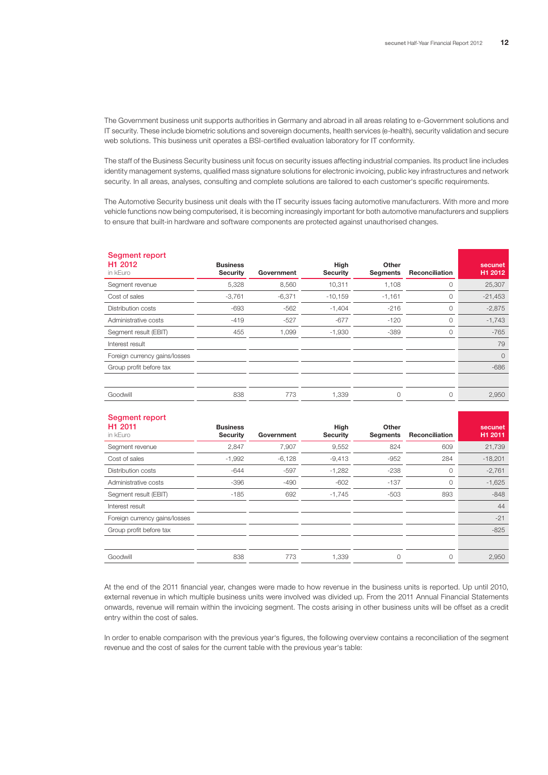The Government business unit supports authorities in Germany and abroad in all areas relating to e-Government solutions and IT security. These include biometric solutions and sovereign documents, health services (e-health), security validation and secure web solutions. This business unit operates a BSI-certified evaluation laboratory for IT conformity.

The staff of the Business Security business unit focus on security issues affecting industrial companies. Its product line includes identity management systems, qualified mass signature solutions for electronic invoicing, public key infrastructures and network security. In all areas, analyses, consulting and complete solutions are tailored to each customer's specific requirements.

The Automotive Security business unit deals with the IT security issues facing automotive manufacturers. With more and more vehicle functions now being computerised, it is becoming increasingly important for both automotive manufacturers and suppliers to ensure that built-in hardware and software components are protected against unauthorised changes.

| Segment report<br>H <sub>1</sub> 2012<br>in kEuro | <b>Business</b><br><b>Security</b> | Government | High<br><b>Security</b> | Other<br><b>Segments</b> | <b>Reconciliation</b> | secunet<br>H1 2012 |
|---------------------------------------------------|------------------------------------|------------|-------------------------|--------------------------|-----------------------|--------------------|
| Segment revenue                                   | 5,328                              | 8,560      | 10,311                  | 1,108                    | 0                     | 25,307             |
| Cost of sales                                     | $-3,761$                           | $-6,371$   | $-10,159$               | $-1,161$                 | 0                     | $-21,453$          |
| Distribution costs                                | $-693$                             | $-562$     | $-1,404$                | $-216$                   | 0                     | $-2,875$           |
| Administrative costs                              | $-419$                             | $-527$     | $-677$                  | $-120$                   | $\circ$               | $-1,743$           |
| Segment result (EBIT)                             | 455                                | 1,099      | $-1,930$                | $-389$                   | $\circ$               | $-765$             |
| Interest result                                   |                                    |            |                         |                          |                       | 79                 |
| Foreign currency gains/losses                     |                                    |            |                         |                          |                       | $\circ$            |
| Group profit before tax                           |                                    |            |                         |                          |                       | $-686$             |
|                                                   |                                    |            |                         |                          |                       |                    |
| Goodwill                                          | 838                                | 773        | 1,339                   | 0                        | 0                     | 2,950              |
|                                                   |                                    |            |                         |                          |                       |                    |

| Segment report<br>H <sub>1</sub> 2011<br>in kEuro | <b>Business</b><br><b>Security</b> | Government | High<br><b>Security</b> | Other<br>Segments | <b>Reconciliation</b> | secunet<br>H1 2011 |
|---------------------------------------------------|------------------------------------|------------|-------------------------|-------------------|-----------------------|--------------------|
| Segment revenue                                   | 2,847                              | 7,907      | 9,552                   | 824               | 609                   | 21,739             |
| Cost of sales                                     | $-1,992$                           | $-6,128$   | $-9,413$                | $-952$            | 284                   | $-18,201$          |
| Distribution costs                                | $-644$                             | $-597$     | $-1,282$                | $-238$            | 0                     | $-2,761$           |
| Administrative costs                              | $-396$                             | $-490$     | $-602$                  | $-137$            | 0                     | $-1,625$           |
| Segment result (EBIT)                             | $-185$                             | 692        | $-1,745$                | $-503$            | 893                   | $-848$             |
| Interest result                                   |                                    |            |                         |                   |                       | 44                 |
| Foreign currency gains/losses                     |                                    |            |                         |                   |                       | $-21$              |
| Group profit before tax                           |                                    |            |                         |                   |                       | $-825$             |
|                                                   |                                    |            |                         |                   |                       |                    |
| Goodwill                                          | 838                                | 773        | 1,339                   | 0                 | 0                     | 2,950              |

At the end of the 2011 financial year, changes were made to how revenue in the business units is reported. Up until 2010, external revenue in which multiple business units were involved was divided up. From the 2011 Annual Financial Statements onwards, revenue will remain within the invoicing segment. The costs arising in other business units will be offset as a credit entry within the cost of sales.

In order to enable comparison with the previous year's figures, the following overview contains a reconciliation of the segment revenue and the cost of sales for the current table with the previous year's table: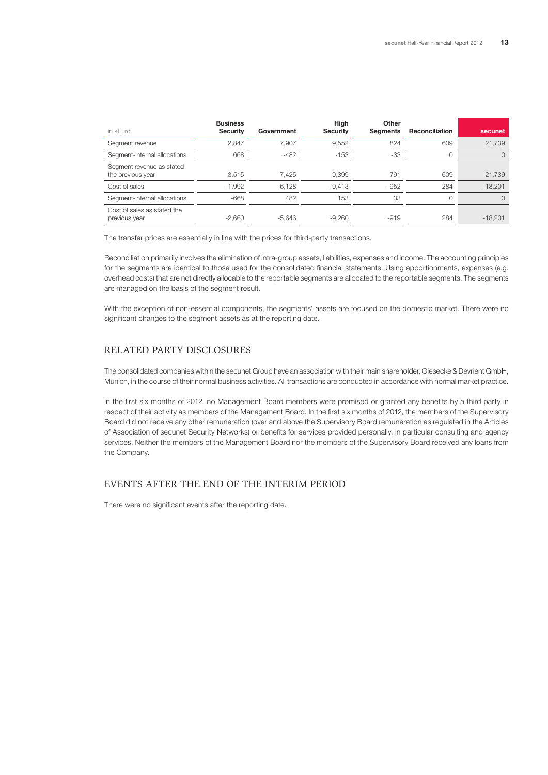| in kEuro                                       | <b>Business</b><br><b>Security</b> | Government | High<br><b>Security</b> | Other<br><b>Seaments</b> | Reconciliation | secunet   |
|------------------------------------------------|------------------------------------|------------|-------------------------|--------------------------|----------------|-----------|
| Segment revenue                                | 2.847                              | 7.907      | 9,552                   | 824                      | 609            | 21,739    |
| Segment-internal allocations                   | 668                                | $-482$     | $-153$                  | $-33$                    | 0              | $\Omega$  |
| Segment revenue as stated<br>the previous year | 3.515                              | 7.425      | 9.399                   | 791                      | 609            | 21,739    |
| Cost of sales                                  | $-1,992$                           | $-6.128$   | $-9.413$                | $-952$                   | 284            | $-18.201$ |
| Segment-internal allocations                   | $-668$                             | 482        | 153                     | 33                       | 0              | $\Omega$  |
| Cost of sales as stated the<br>previous year   | $-2.660$                           | $-5.646$   | $-9.260$                | $-919$                   | 284            | $-18.201$ |

The transfer prices are essentially in line with the prices for third-party transactions.

Reconciliation primarily involves the elimination of intra-group assets, liabilities, expenses and income. The accounting principles for the segments are identical to those used for the consolidated financial statements. Using apportionments, expenses (e.g. overhead costs) that are not directly allocable to the reportable segments are allocated to the reportable segments. The segments are managed on the basis of the segment result.

With the exception of non-essential components, the segments' assets are focused on the domestic market. There were no significant changes to the segment assets as at the reporting date.

## RELATED PARTY DISCLOSURES

The consolidated companies within the secunet Group have an association with their main shareholder, Giesecke & Devrient GmbH, Munich, in the course of their normal business activities. All transactions are conducted in accordance with normal market practice.

In the first six months of 2012, no Management Board members were promised or granted any benefits by a third party in respect of their activity as members of the Management Board. In the first six months of 2012, the members of the Supervisory Board did not receive any other remuneration (over and above the Supervisory Board remuneration as regulated in the Articles of Association of secunet Security Networks) or benefits for services provided personally, in particular consulting and agency services. Neither the members of the Management Board nor the members of the Supervisory Board received any loans from the Company.

### EVENTS AFTER THE END OF THE INTERIM PERIOD

There were no significant events after the reporting date.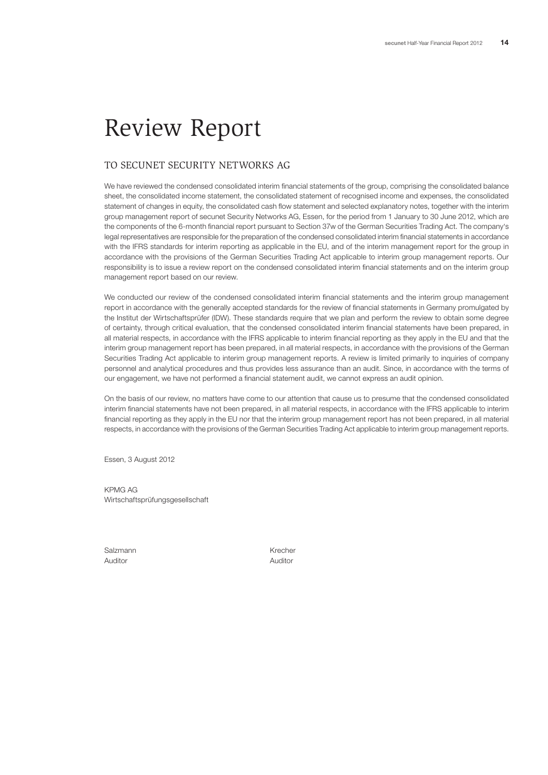# Review Report

## TO SECUNET SECURITY NETWORKS AG

We have reviewed the condensed consolidated interim financial statements of the group, comprising the consolidated balance sheet, the consolidated income statement, the consolidated statement of recognised income and expenses, the consolidated statement of changes in equity, the consolidated cash flow statement and selected explanatory notes, together with the interim group management report of secunet Security Networks AG, Essen, for the period from 1 January to 30 June 2012, which are the components of the 6-month financial report pursuant to Section 37w of the German Securities Trading Act. The company's legal representatives are responsible for the preparation of the condensed consolidated interim financial statements in accordance with the IFRS standards for interim reporting as applicable in the EU, and of the interim management report for the group in accordance with the provisions of the German Securities Trading Act applicable to interim group management reports. Our responsibility is to issue a review report on the condensed consolidated interim financial statements and on the interim group management report based on our review.

We conducted our review of the condensed consolidated interim financial statements and the interim group management report in accordance with the generally accepted standards for the review of financial statements in Germany promulgated by the Institut der Wirtschaftsprüfer (IDW). These standards require that we plan and perform the review to obtain some degree of certainty, through critical evaluation, that the condensed consolidated interim financial statements have been prepared, in all material respects, in accordance with the IFRS applicable to interim financial reporting as they apply in the EU and that the interim group management report has been prepared, in all material respects, in accordance with the provisions of the German Securities Trading Act applicable to interim group management reports. A review is limited primarily to inquiries of company personnel and analytical procedures and thus provides less assurance than an audit. Since, in accordance with the terms of our engagement, we have not performed a financial statement audit, we cannot express an audit opinion.

On the basis of our review, no matters have come to our attention that cause us to presume that the condensed consolidated interim financial statements have not been prepared, in all material respects, in accordance with the IFRS applicable to interim financial reporting as they apply in the EU nor that the interim group management report has not been prepared, in all material respects, in accordance with the provisions of the German Securities Trading Act applicable to interim group management reports.

Essen, 3 August 2012

KPMG AG Wirtschaftsprüfungsgesellschaft

Salzmann Krecher Krecher Auditor Auditor